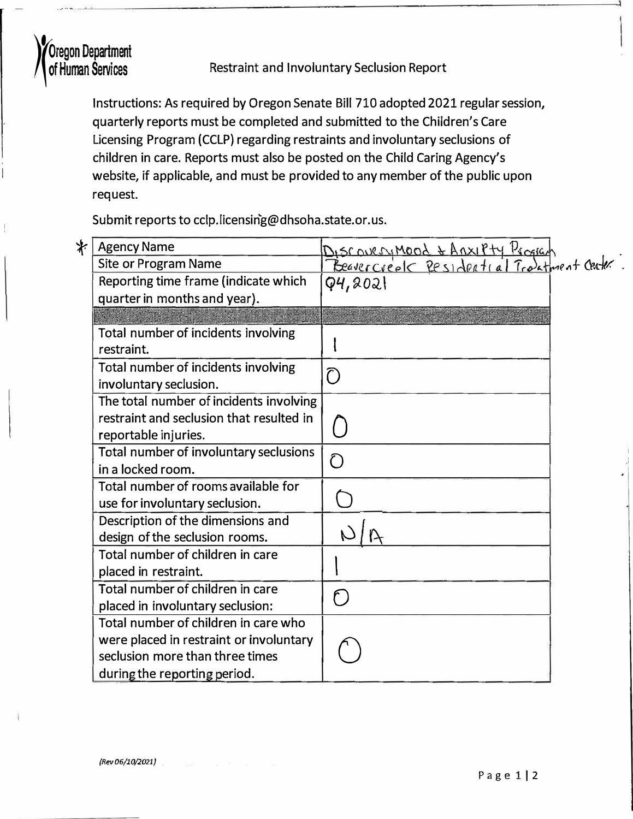

Oregon Department<br>
of Human Services Restraint and Involuntary Seclusion Report<br>
Instructions: As required by Oregon Senate Bill 710 adopted 2021 regular session, quarterly reports must be completed and submitted to the Children's Care Licensing Program (CCLP) regarding restraints and involuntary seclusions of children in care. Reports must also be posted on the Child Caring Agency's website, if applicable, and must be provided to any member of the public upon request.

Submit reports to cclp.licensin'g@dhsoha.state.or.us.

| <b>⊁</b> Agency Name                                                                                                                               |                                                                                  |  |  |
|----------------------------------------------------------------------------------------------------------------------------------------------------|----------------------------------------------------------------------------------|--|--|
| <b>Site or Program Name</b>                                                                                                                        | Discovery Mood & Anxiety Program<br>Preasercreate Pesidertial Transfrient Center |  |  |
| Reporting time frame (indicate which                                                                                                               | Q4,2021                                                                          |  |  |
| quarter in months and year).                                                                                                                       |                                                                                  |  |  |
|                                                                                                                                                    |                                                                                  |  |  |
| Total number of incidents involving<br>restraint.                                                                                                  |                                                                                  |  |  |
| Total number of incidents involving<br>involuntary seclusion.                                                                                      | $\bigcap$                                                                        |  |  |
| The total number of incidents involving<br>restraint and seclusion that resulted in<br>reportable injuries.                                        |                                                                                  |  |  |
| Total number of involuntary seclusions<br>in a locked room.                                                                                        | $\bigcirc$                                                                       |  |  |
| Total number of rooms available for<br>use for involuntary seclusion.                                                                              |                                                                                  |  |  |
| Description of the dimensions and<br>design of the seclusion rooms.                                                                                |                                                                                  |  |  |
| Total number of children in care<br>placed in restraint.                                                                                           |                                                                                  |  |  |
| Total number of children in care<br>placed in involuntary seclusion:                                                                               | $\bigcap$                                                                        |  |  |
| Total number of children in care who<br>were placed in restraint or involuntary<br>seclusion more than three times<br>during the reporting period. |                                                                                  |  |  |

 $\mathcal{A}$